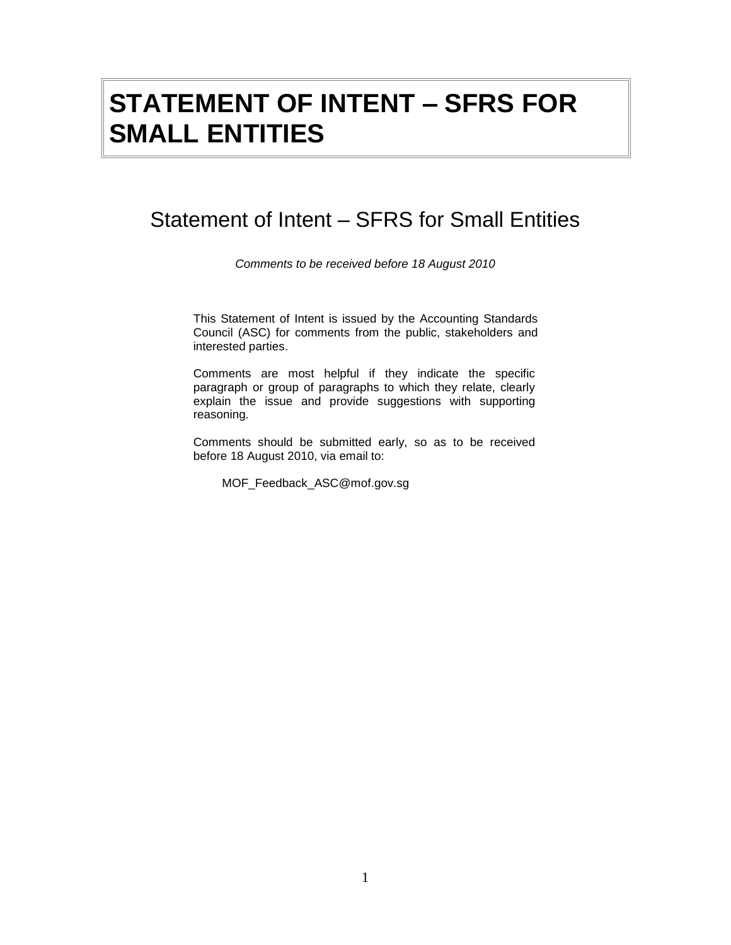# **STATEMENT OF INTENT – SFRS FOR SMALL ENTITIES**

## Statement of Intent – SFRS for Small Entities

*Comments to be received before 18 August 2010*

This Statement of Intent is issued by the Accounting Standards Council (ASC) for comments from the public, stakeholders and interested parties.

Comments are most helpful if they indicate the specific paragraph or group of paragraphs to which they relate, clearly explain the issue and provide suggestions with supporting reasoning.

Comments should be submitted early, so as to be received before 18 August 2010, via email to:

MOF\_Feedback\_ASC@mof.gov.sg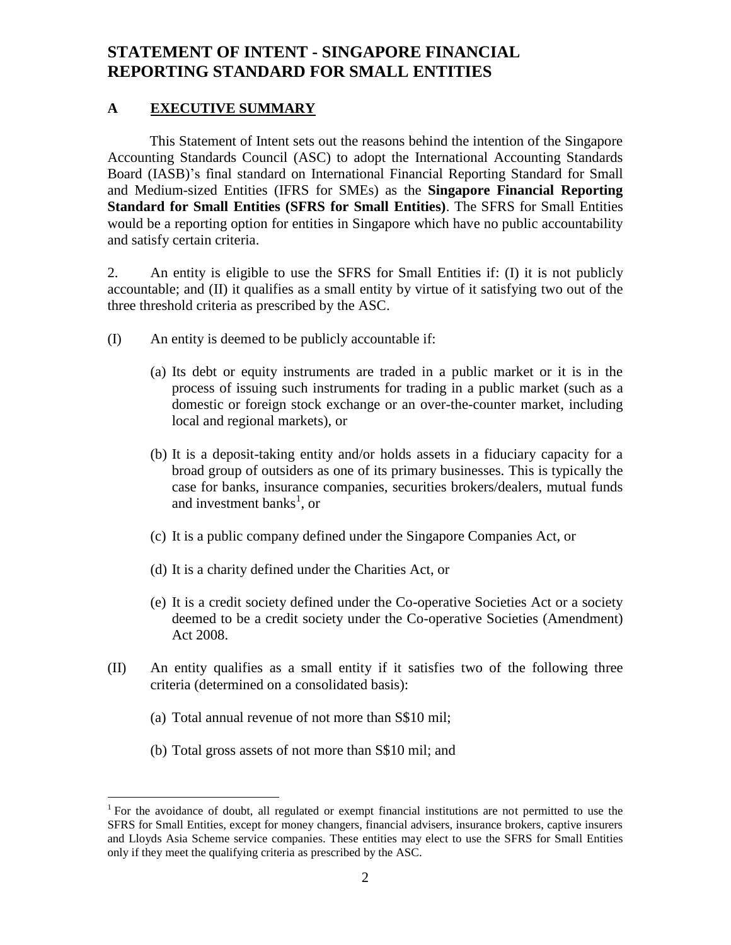### **STATEMENT OF INTENT - SINGAPORE FINANCIAL REPORTING STANDARD FOR SMALL ENTITIES**

#### **A EXECUTIVE SUMMARY**

This Statement of Intent sets out the reasons behind the intention of the Singapore Accounting Standards Council (ASC) to adopt the International Accounting Standards Board (IASB)'s final standard on International Financial Reporting Standard for Small and Medium-sized Entities (IFRS for SMEs) as the **Singapore Financial Reporting Standard for Small Entities (SFRS for Small Entities)**. The SFRS for Small Entities would be a reporting option for entities in Singapore which have no public accountability and satisfy certain criteria.

2. An entity is eligible to use the SFRS for Small Entities if: (I) it is not publicly accountable; and (II) it qualifies as a small entity by virtue of it satisfying two out of the three threshold criteria as prescribed by the ASC.

- (I) An entity is deemed to be publicly accountable if:
	- (a) Its debt or equity instruments are traded in a public market or it is in the process of issuing such instruments for trading in a public market (such as a domestic or foreign stock exchange or an over-the-counter market, including local and regional markets), or
	- (b) It is a deposit-taking entity and/or holds assets in a fiduciary capacity for a broad group of outsiders as one of its primary businesses. This is typically the case for banks, insurance companies, securities brokers/dealers, mutual funds and investment banks<sup>1</sup>, or
	- (c) It is a public company defined under the Singapore Companies Act, or
	- (d) It is a charity defined under the Charities Act, or
	- (e) It is a credit society defined under the Co-operative Societies Act or a society deemed to be a credit society under the Co-operative Societies (Amendment) Act 2008.
- (II) An entity qualifies as a small entity if it satisfies two of the following three criteria (determined on a consolidated basis):
	- (a) Total annual revenue of not more than S\$10 mil;
	- (b) Total gross assets of not more than S\$10 mil; and

 $\overline{a}$ 

<sup>&</sup>lt;sup>1</sup> For the avoidance of doubt, all regulated or exempt financial institutions are not permitted to use the SFRS for Small Entities, except for money changers, financial advisers, insurance brokers, captive insurers and Lloyds Asia Scheme service companies. These entities may elect to use the SFRS for Small Entities only if they meet the qualifying criteria as prescribed by the ASC.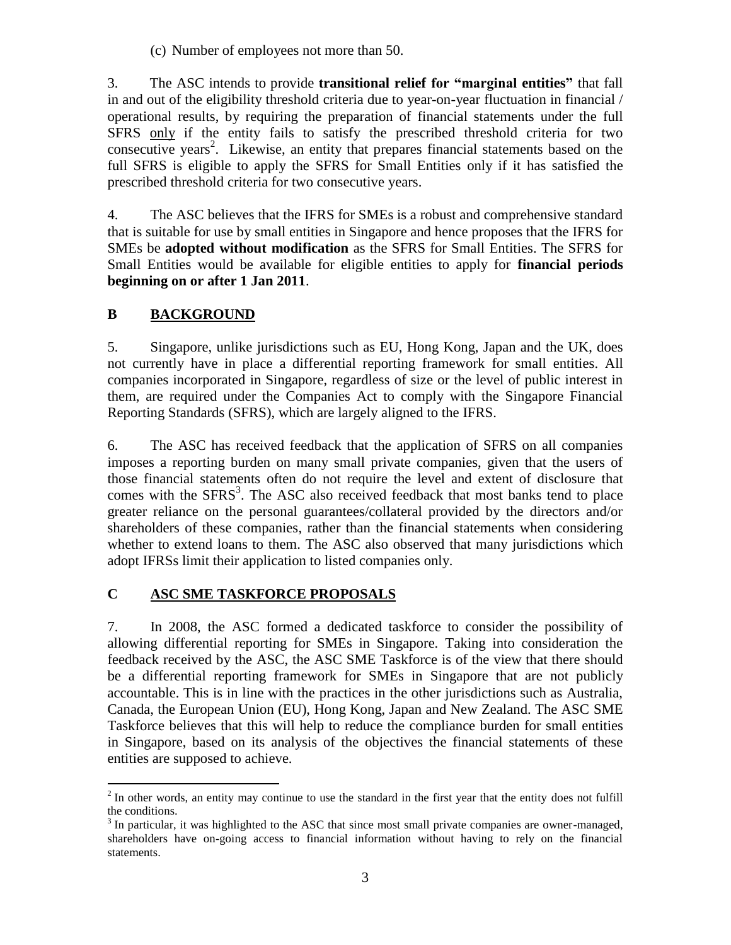(c) Number of employees not more than 50.

3. The ASC intends to provide **transitional relief for "marginal entities"** that fall in and out of the eligibility threshold criteria due to year-on-year fluctuation in financial / operational results, by requiring the preparation of financial statements under the full SFRS only if the entity fails to satisfy the prescribed threshold criteria for two consecutive years<sup>2</sup>. Likewise, an entity that prepares financial statements based on the full SFRS is eligible to apply the SFRS for Small Entities only if it has satisfied the prescribed threshold criteria for two consecutive years.

4. The ASC believes that the IFRS for SMEs is a robust and comprehensive standard that is suitable for use by small entities in Singapore and hence proposes that the IFRS for SMEs be **adopted without modification** as the SFRS for Small Entities. The SFRS for Small Entities would be available for eligible entities to apply for **financial periods beginning on or after 1 Jan 2011**.

#### **B BACKGROUND**

5. Singapore, unlike jurisdictions such as EU, Hong Kong, Japan and the UK, does not currently have in place a differential reporting framework for small entities. All companies incorporated in Singapore, regardless of size or the level of public interest in them, are required under the Companies Act to comply with the Singapore Financial Reporting Standards (SFRS), which are largely aligned to the IFRS.

6. The ASC has received feedback that the application of SFRS on all companies imposes a reporting burden on many small private companies, given that the users of those financial statements often do not require the level and extent of disclosure that comes with the  $SFRS<sup>3</sup>$ . The ASC also received feedback that most banks tend to place greater reliance on the personal guarantees/collateral provided by the directors and/or shareholders of these companies, rather than the financial statements when considering whether to extend loans to them. The ASC also observed that many jurisdictions which adopt IFRSs limit their application to listed companies only.

#### **C ASC SME TASKFORCE PROPOSALS**

7. In 2008, the ASC formed a dedicated taskforce to consider the possibility of allowing differential reporting for SMEs in Singapore. Taking into consideration the feedback received by the ASC, the ASC SME Taskforce is of the view that there should be a differential reporting framework for SMEs in Singapore that are not publicly accountable. This is in line with the practices in the other jurisdictions such as Australia, Canada, the European Union (EU), Hong Kong, Japan and New Zealand. The ASC SME Taskforce believes that this will help to reduce the compliance burden for small entities in Singapore, based on its analysis of the objectives the financial statements of these entities are supposed to achieve.

<sup>&</sup>lt;sup>2</sup> In other words, an entity may continue to use the standard in the first year that the entity does not fulfill the conditions.

 $3$  In particular, it was highlighted to the ASC that since most small private companies are owner-managed, shareholders have on-going access to financial information without having to rely on the financial statements.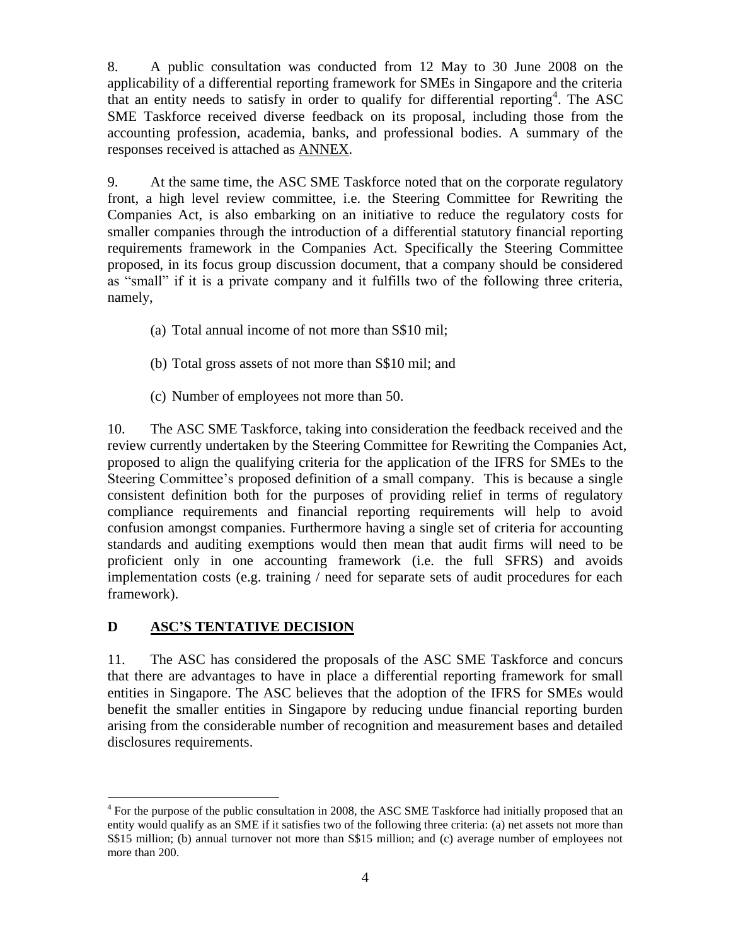8. A public consultation was conducted from 12 May to 30 June 2008 on the applicability of a differential reporting framework for SMEs in Singapore and the criteria that an entity needs to satisfy in order to qualify for differential reporting<sup>4</sup>. The ASC SME Taskforce received diverse feedback on its proposal, including those from the accounting profession, academia, banks, and professional bodies. A summary of the responses received is attached as ANNEX.

9. At the same time, the ASC SME Taskforce noted that on the corporate regulatory front, a high level review committee, i.e. the Steering Committee for Rewriting the Companies Act, is also embarking on an initiative to reduce the regulatory costs for smaller companies through the introduction of a differential statutory financial reporting requirements framework in the Companies Act. Specifically the Steering Committee proposed, in its focus group discussion document, that a company should be considered as "small" if it is a private company and it fulfills two of the following three criteria, namely,

- (a) Total annual income of not more than S\$10 mil;
- (b) Total gross assets of not more than S\$10 mil; and
- (c) Number of employees not more than 50.

10. The ASC SME Taskforce, taking into consideration the feedback received and the review currently undertaken by the Steering Committee for Rewriting the Companies Act, proposed to align the qualifying criteria for the application of the IFRS for SMEs to the Steering Committee's proposed definition of a small company. This is because a single consistent definition both for the purposes of providing relief in terms of regulatory compliance requirements and financial reporting requirements will help to avoid confusion amongst companies. Furthermore having a single set of criteria for accounting standards and auditing exemptions would then mean that audit firms will need to be proficient only in one accounting framework (i.e. the full SFRS) and avoids implementation costs (e.g. training / need for separate sets of audit procedures for each framework).

#### **D ASC'S TENTATIVE DECISION**

 $\overline{a}$ 

11. The ASC has considered the proposals of the ASC SME Taskforce and concurs that there are advantages to have in place a differential reporting framework for small entities in Singapore. The ASC believes that the adoption of the IFRS for SMEs would benefit the smaller entities in Singapore by reducing undue financial reporting burden arising from the considerable number of recognition and measurement bases and detailed disclosures requirements.

<sup>&</sup>lt;sup>4</sup> For the purpose of the public consultation in 2008, the ASC SME Taskforce had initially proposed that an entity would qualify as an SME if it satisfies two of the following three criteria: (a) net assets not more than S\$15 million; (b) annual turnover not more than S\$15 million; and (c) average number of employees not more than 200.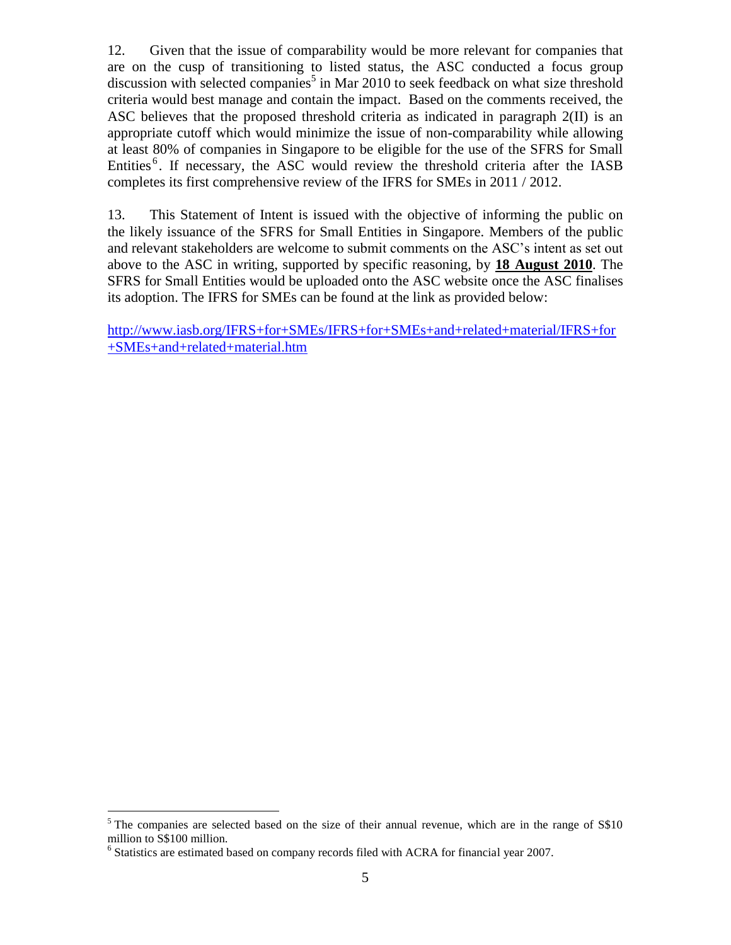12. Given that the issue of comparability would be more relevant for companies that are on the cusp of transitioning to listed status, the ASC conducted a focus group discussion with selected companies<sup>5</sup> in Mar 2010 to seek feedback on what size threshold criteria would best manage and contain the impact. Based on the comments received, the ASC believes that the proposed threshold criteria as indicated in paragraph 2(II) is an appropriate cutoff which would minimize the issue of non-comparability while allowing at least 80% of companies in Singapore to be eligible for the use of the SFRS for Small Entities<sup>6</sup>. If necessary, the ASC would review the threshold criteria after the IASB completes its first comprehensive review of the IFRS for SMEs in 2011 / 2012.

13. This Statement of Intent is issued with the objective of informing the public on the likely issuance of the SFRS for Small Entities in Singapore. Members of the public and relevant stakeholders are welcome to submit comments on the ASC's intent as set out above to the ASC in writing, supported by specific reasoning, by **18 August 2010**. The SFRS for Small Entities would be uploaded onto the ASC website once the ASC finalises its adoption. The IFRS for SMEs can be found at the link as provided below:

[http://www.iasb.org/IFRS+for+SMEs/IFRS+for+SMEs+and+related+material/IFRS+for](http://www.iasb.org/IFRS+for+SMEs/IFRS+for+SMEs+and+related+material/IFRS+for+SMEs+and+related+material.htm) [+SMEs+and+related+material.htm](http://www.iasb.org/IFRS+for+SMEs/IFRS+for+SMEs+and+related+material/IFRS+for+SMEs+and+related+material.htm)

 $\overline{a}$ 

 $5$  The companies are selected based on the size of their annual revenue, which are in the range of S\$10 million to S\$100 million.

 $6$  Statistics are estimated based on company records filed with ACRA for financial year 2007.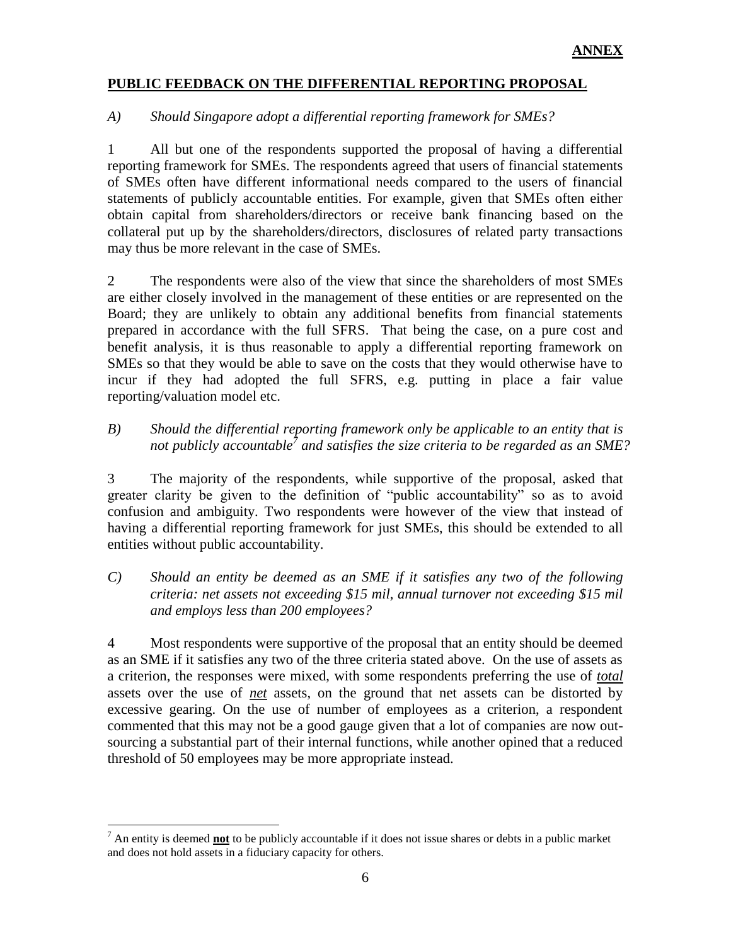#### **PUBLIC FEEDBACK ON THE DIFFERENTIAL REPORTING PROPOSAL**

#### *A) Should Singapore adopt a differential reporting framework for SMEs?*

1 All but one of the respondents supported the proposal of having a differential reporting framework for SMEs. The respondents agreed that users of financial statements of SMEs often have different informational needs compared to the users of financial statements of publicly accountable entities. For example, given that SMEs often either obtain capital from shareholders/directors or receive bank financing based on the collateral put up by the shareholders/directors, disclosures of related party transactions may thus be more relevant in the case of SMEs.

2 The respondents were also of the view that since the shareholders of most SMEs are either closely involved in the management of these entities or are represented on the Board; they are unlikely to obtain any additional benefits from financial statements prepared in accordance with the full SFRS. That being the case, on a pure cost and benefit analysis, it is thus reasonable to apply a differential reporting framework on SMEs so that they would be able to save on the costs that they would otherwise have to incur if they had adopted the full SFRS, e.g. putting in place a fair value reporting/valuation model etc.

#### *B) Should the differential reporting framework only be applicable to an entity that is not publicly accountable*<sup>*7*</sup> and satisfies the size criteria to be regarded as an SME?

3 The majority of the respondents, while supportive of the proposal, asked that greater clarity be given to the definition of "public accountability" so as to avoid confusion and ambiguity. Two respondents were however of the view that instead of having a differential reporting framework for just SMEs, this should be extended to all entities without public accountability.

#### *C) Should an entity be deemed as an SME if it satisfies any two of the following criteria: net assets not exceeding \$15 mil, annual turnover not exceeding \$15 mil and employs less than 200 employees?*

4 Most respondents were supportive of the proposal that an entity should be deemed as an SME if it satisfies any two of the three criteria stated above. On the use of assets as a criterion, the responses were mixed, with some respondents preferring the use of *total*  assets over the use of *net* assets, on the ground that net assets can be distorted by excessive gearing. On the use of number of employees as a criterion, a respondent commented that this may not be a good gauge given that a lot of companies are now outsourcing a substantial part of their internal functions, while another opined that a reduced threshold of 50 employees may be more appropriate instead.

 $\overline{a}$ <sup>7</sup> An entity is deemed **not** to be publicly accountable if it does not issue shares or debts in a public market and does not hold assets in a fiduciary capacity for others.